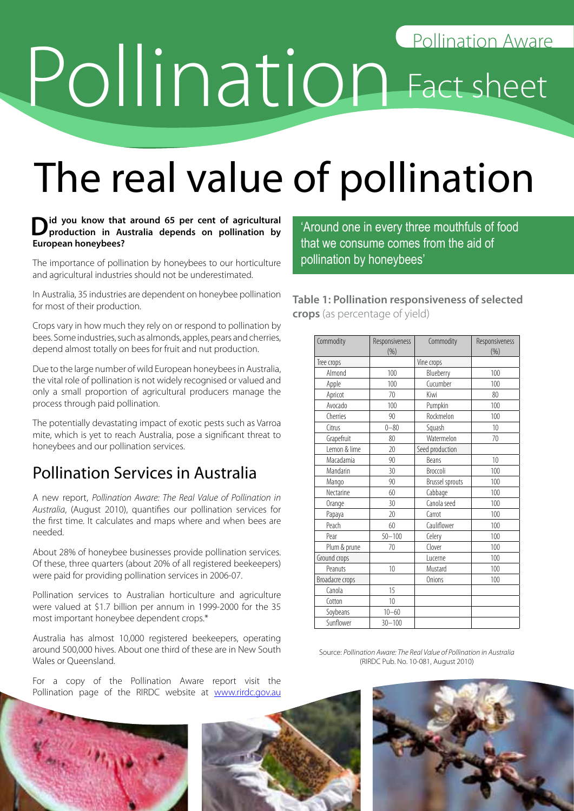# Pollination Aware

# The real value of pollination

#### $\sum$  id you know that around 65 per cent of agricultural production in Australia depends on pollination by **European honeybees?**

The importance of pollination by honeybees to our horticulture and agricultural industries should not be underestimated.

In Australia, 35 industries are dependent on honeybee pollination for most of their production.

Crops vary in how much they rely on or respond to pollination by bees. Some industries, such as almonds, apples, pears and cherries, depend almost totally on bees for fruit and nut production.

Due to the large number of wild European honeybees in Australia, the vital role of pollination is not widely recognised or valued and only a small proportion of agricultural producers manage the process through paid pollination.

The potentially devastating impact of exotic pests such as Varroa mite, which is yet to reach Australia, pose a significant threat to honeybees and our pollination services.

## Pollination Services in Australia

A new report, *Pollination Aware: The Real Value of Pollination in Australia*, (August 2010), quantifies our pollination services for the first time. It calculates and maps where and when bees are needed.

About 28% of honeybee businesses provide pollination services. Of these, three quarters (about 20% of all registered beekeepers) were paid for providing pollination services in 2006-07.

Pollination services to Australian horticulture and agriculture were valued at \$1.7 billion per annum in 1999-2000 for the 35 most important honeybee dependent crops.\*

Australia has almost 10,000 registered beekeepers, operating around 500,000 hives. About one third of these are in New South Wales or Queensland.

For a copy of the Pollination Aware report visit the Pollination page of the RIRDC website at www.rirdc.gov.au 'Around one in every three mouthfuls of food that we consume comes from the aid of pollination by honeybees'

**Table 1: Pollination responsiveness of selected crops** (as percentage of yield)

| Commodity       | Responsiveness<br>(% ) | Commodity              | Responsiveness<br>(%) |
|-----------------|------------------------|------------------------|-----------------------|
| Tree crops      |                        | Vine crops             |                       |
| Almond          | 100                    | Blueberry              | 100                   |
| Apple           | 100                    | Cucumber               | 100                   |
| Apricot         | 70                     | Kiwi                   | 80                    |
| Avocado         | 100                    | Pumpkin                | 100                   |
| Cherries        | 90                     | Rockmelon              | 100                   |
| Citrus          | $0 - 80$               | Squash                 | 10                    |
| Grapefruit      | 80                     | Watermelon             | 70                    |
| Lemon & lime    | $\overline{20}$        | Seed production        |                       |
| Macadamia       | 90                     | <b>Beans</b>           | 10                    |
| Mandarin        | 30                     | Broccoli               | 100                   |
| Mango           | 90                     | <b>Brussel sprouts</b> | 100                   |
| Nectarine       | 60                     | Cabbage                | 100                   |
| Orange          | 30                     | Canola seed            | 100                   |
| Papaya          | $\overline{20}$        | Carrot                 | 100                   |
| Peach           | 60                     | Cauliflower            | 100                   |
| Pear            | $50 - 100$             | Celery                 | 100                   |
| Plum & prune    | 70                     | Clover                 | 100                   |
| Ground crops    |                        | Lucerne                | 100                   |
| Peanuts         | 10                     | Mustard                | 100                   |
| Broadacre crops |                        | Onions                 | 100                   |
| Canola          | 15                     |                        |                       |
| Cotton          | 10                     |                        |                       |
| Soybeans        | $10 - 60$              |                        |                       |
| Sunflower       | $30 - 100$             |                        |                       |

Source: *Pollination Aware: The Real Value of Pollination in Australia* (RIRDC Pub. No. 10-081, August 2010)